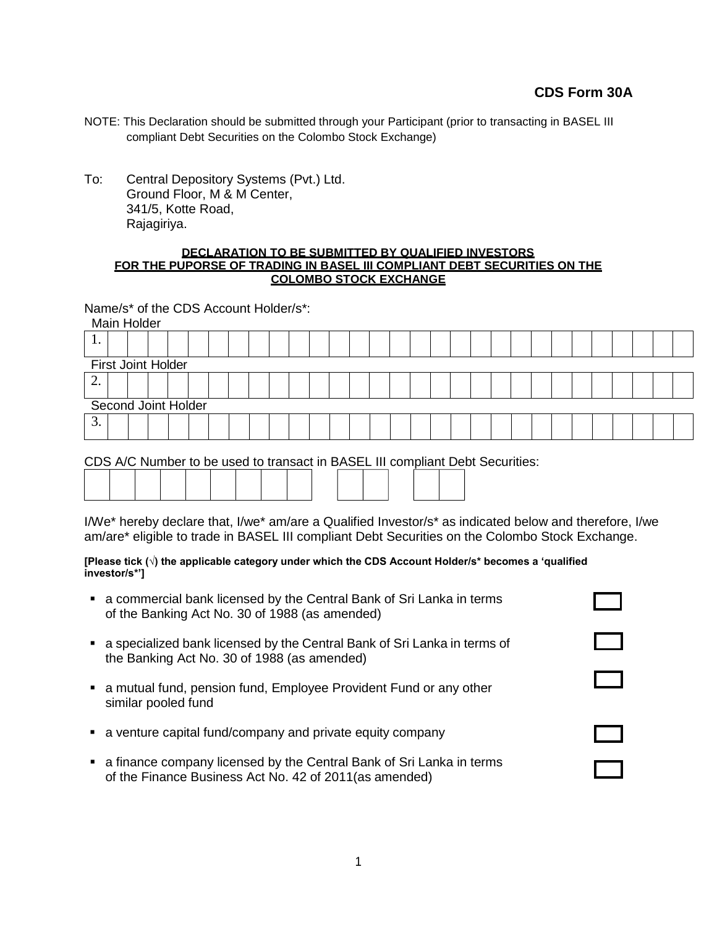- NOTE: This Declaration should be submitted through your Participant (prior to transacting in BASEL III compliant Debt Securities on the Colombo Stock Exchange)
- To: Central Depository Systems (Pvt.) Ltd. Ground Floor, M & M Center, 341/5, Kotte Road, Rajagiriya.

## **DECLARATION TO BE SUBMITTED BY QUALIFIED INVESTORS FOR THE PUPORSE OF TRADING IN BASEL III COMPLIANT DEBT SECURITIES ON THE COLOMBO STOCK EXCHANGE**

Name/s\* of the CDS Account Holder/s\*: Main Holder

| <b>Main Holder</b>  |                    |  |  |  |  |  |  |  |  |  |  |  |  |  |  |  |  |  |  |  |
|---------------------|--------------------|--|--|--|--|--|--|--|--|--|--|--|--|--|--|--|--|--|--|--|
| . .                 |                    |  |  |  |  |  |  |  |  |  |  |  |  |  |  |  |  |  |  |  |
|                     | First Joint Holder |  |  |  |  |  |  |  |  |  |  |  |  |  |  |  |  |  |  |  |
| ٠.                  |                    |  |  |  |  |  |  |  |  |  |  |  |  |  |  |  |  |  |  |  |
| Second Joint Holder |                    |  |  |  |  |  |  |  |  |  |  |  |  |  |  |  |  |  |  |  |
| . ب                 |                    |  |  |  |  |  |  |  |  |  |  |  |  |  |  |  |  |  |  |  |
|                     |                    |  |  |  |  |  |  |  |  |  |  |  |  |  |  |  |  |  |  |  |

CDS A/C Number to be used to transact in BASEL III compliant Debt Securities:

| I/We* hereby declare that, I/we* am/are a Qualified Investor/s* as indicated below and therefore, I/we |  |
|--------------------------------------------------------------------------------------------------------|--|
| am/are* eligible to trade in BASEL III compliant Debt Securities on the Colombo Stock Exchange.        |  |

**[Please tick (√) the applicable category under which the CDS Account Holder/s\* becomes a 'qualified investor/s\*']**

| • a commercial bank licensed by the Central Bank of Sri Lanka in terms<br>of the Banking Act No. 30 of 1988 (as amended)          |  |
|-----------------------------------------------------------------------------------------------------------------------------------|--|
| • a specialized bank licensed by the Central Bank of Sri Lanka in terms of<br>the Banking Act No. 30 of 1988 (as amended)         |  |
| • a mutual fund, pension fund, Employee Provident Fund or any other<br>similar pooled fund                                        |  |
| • a venture capital fund/company and private equity company                                                                       |  |
| ■ a finance company licensed by the Central Bank of Sri Lanka in terms<br>of the Finance Business Act No. 42 of 2011 (as amended) |  |